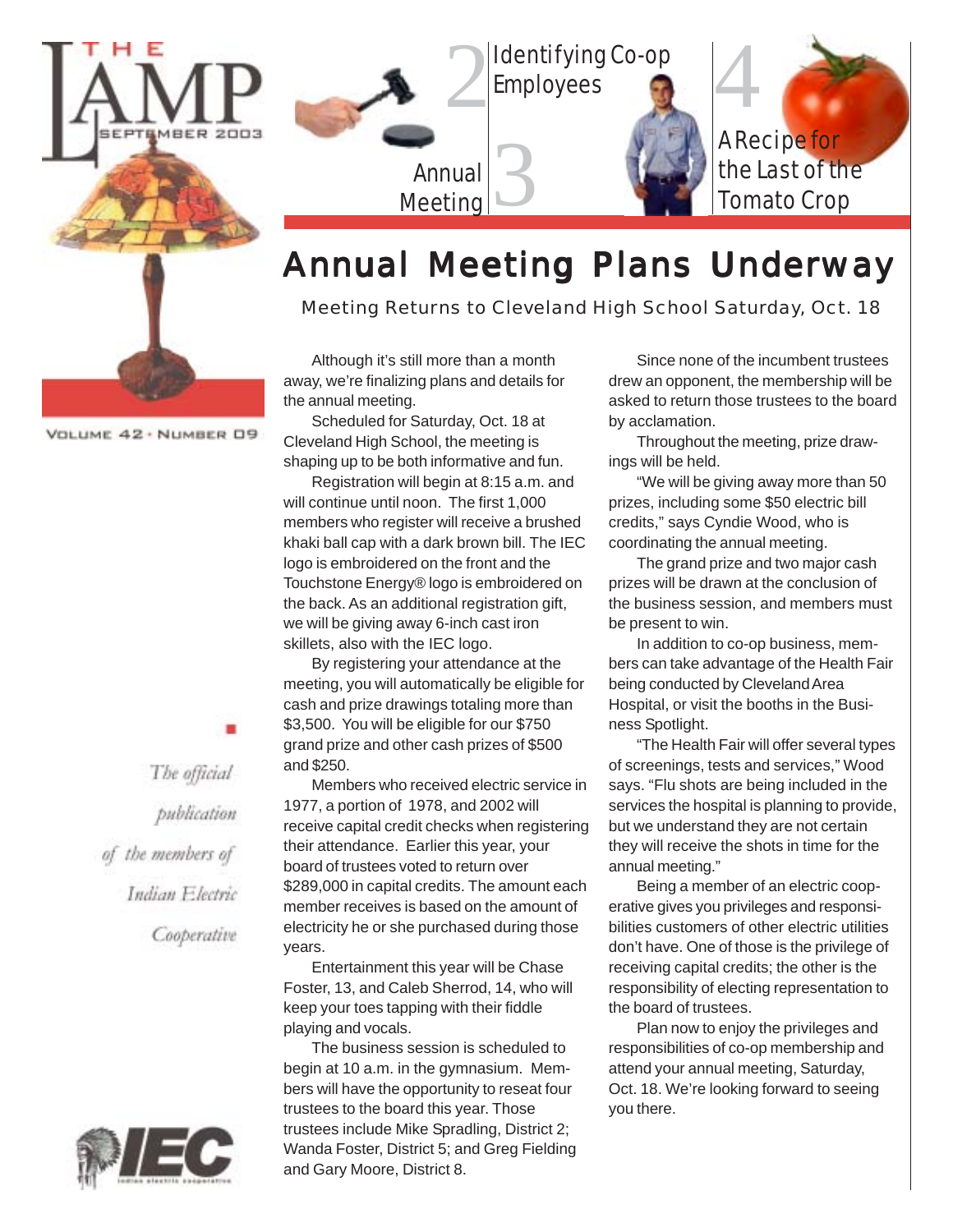

2 Identifying Co-op Employees

Annual Meeting 3 A Recipe for the Last of the Tomato Crop

4

### Annual Meeting Plans Underway

*Meeting Returns to Cleveland High School Saturday, Oct. 18*

Although it's still more than a month away, we're finalizing plans and details for the annual meeting.

Scheduled for Saturday, Oct. 18 at Cleveland High School, the meeting is shaping up to be both informative and fun.

Registration will begin at 8:15 a.m. and will continue until noon. The first 1,000 members who register will receive a brushed khaki ball cap with a dark brown bill. The IEC logo is embroidered on the front and the Touchstone Energy® logo is embroidered on the back. As an additional registration gift, we will be giving away 6-inch cast iron skillets, also with the IEC logo.

By registering your attendance at the meeting, you will automatically be eligible for cash and prize drawings totaling more than \$3,500. You will be eligible for our \$750 grand prize and other cash prizes of \$500 and \$250.

Members who received electric service in 1977, a portion of 1978, and 2002 will receive capital credit checks when registering their attendance. Earlier this year, your board of trustees voted to return over \$289,000 in capital credits. The amount each member receives is based on the amount of electricity he or she purchased during those years.

Entertainment this year will be Chase Foster, 13, and Caleb Sherrod, 14, who will keep your toes tapping with their fiddle playing and vocals.

The business session is scheduled to begin at 10 a.m. in the gymnasium. Members will have the opportunity to reseat four trustees to the board this year. Those trustees include Mike Spradling, District 2; Wanda Foster, District 5; and Greg Fielding and Gary Moore, District 8.

Since none of the incumbent trustees drew an opponent, the membership will be asked to return those trustees to the board by acclamation.

Throughout the meeting, prize drawings will be held.

"We will be giving away more than 50 prizes, including some \$50 electric bill credits," says Cyndie Wood, who is coordinating the annual meeting.

The grand prize and two major cash prizes will be drawn at the conclusion of the business session, and members must be present to win.

In addition to co-op business, members can take advantage of the Health Fair being conducted by Cleveland Area Hospital, or visit the booths in the Business Spotlight.

"The Health Fair will offer several types of screenings, tests and services," Wood says. "Flu shots are being included in the services the hospital is planning to provide, but we understand they are not certain they will receive the shots in time for the annual meeting."

Being a member of an electric cooperative gives you privileges and responsibilities customers of other electric utilities don't have. One of those is the privilege of receiving capital credits; the other is the responsibility of electing representation to the board of trustees.

Plan now to enjoy the privileges and responsibilities of co-op membership and attend your annual meeting, Saturday, Oct. 18. We're looking forward to seeing you there.

VOLUME 42 · NUMBER 09

The official publication of the members of Indian Electric Cooperative

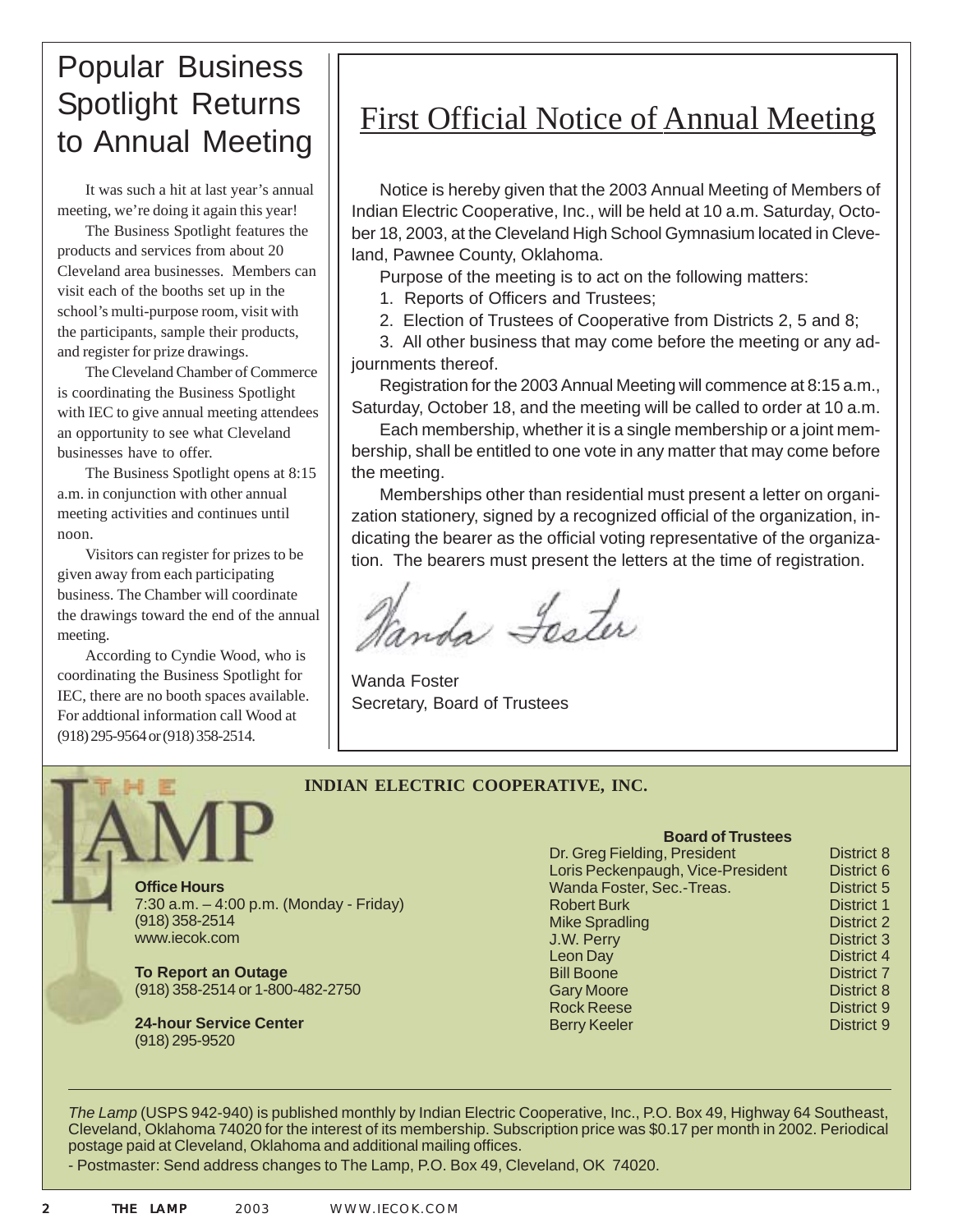### Popular Business Spotlight Returns to Annual Meeting

It was such a hit at last year's annual meeting, we're doing it again this year!

The Business Spotlight features the products and services from about 20 Cleveland area businesses. Members can visit each of the booths set up in the school's multi-purpose room, visit with the participants, sample their products, and register for prize drawings.

The Cleveland Chamber of Commerce is coordinating the Business Spotlight with IEC to give annual meeting attendees an opportunity to see what Cleveland businesses have to offer.

The Business Spotlight opens at 8:15 a.m. in conjunction with other annual meeting activities and continues until noon.

Visitors can register for prizes to be given away from each participating business. The Chamber will coordinate the drawings toward the end of the annual meeting.

According to Cyndie Wood, who is coordinating the Business Spotlight for IEC, there are no booth spaces available. For addtional information call Wood at (918) 295-9564 or (918) 358-2514.

### First Official Notice of Annual Meeting

Notice is hereby given that the 2003 Annual Meeting of Members of Indian Electric Cooperative, Inc., will be held at 10 a.m. Saturday, October 18, 2003, at the Cleveland High School Gymnasium located in Cleveland, Pawnee County, Oklahoma.

Purpose of the meeting is to act on the following matters:

1. Reports of Officers and Trustees;

2. Election of Trustees of Cooperative from Districts 2, 5 and 8;

3. All other business that may come before the meeting or any adjournments thereof.

Registration for the 2003 Annual Meeting will commence at 8:15 a.m., Saturday, October 18, and the meeting will be called to order at 10 a.m.

Each membership, whether it is a single membership or a joint membership, shall be entitled to one vote in any matter that may come before the meeting.

Memberships other than residential must present a letter on organization stationery, signed by a recognized official of the organization, indicating the bearer as the official voting representative of the organization. The bearers must present the letters at the time of registration.

Nanda Lester

Wanda Foster Secretary, Board of Trustees

#### **INDIAN ELECTRIC COOPERATIVE, INC.**



7:30 a.m. – 4:00 p.m. (Monday - Friday) (918) 358-2514 www.iecok.com

**To Report an Outage** (918) 358-2514 or 1-800-482-2750

**24-hour Service Center** (918) 295-9520

| <b>Board of Trustees</b>          |                   |
|-----------------------------------|-------------------|
| Dr. Greg Fielding, President      | District 8        |
| Loris Peckenpaugh, Vice-President | District 6        |
| Wanda Foster, Sec.-Treas.         | District 5        |
| <b>Robert Burk</b>                | District 1        |
| <b>Mike Spradling</b>             | <b>District 2</b> |
| J.W. Perry                        | <b>District 3</b> |
| Leon Day                          | District 4        |
| <b>Bill Boone</b>                 | District 7        |
| <b>Gary Moore</b>                 | District 8        |
| <b>Rock Reese</b>                 | District 9        |
| <b>Berry Keeler</b>               | District 9        |

*The Lamp* (USPS 942-940) is published monthly by Indian Electric Cooperative, Inc., P.O. Box 49, Highway 64 Southeast, Cleveland, Oklahoma 74020 for the interest of its membership. Subscription price was \$0.17 per month in 2002. Periodical postage paid at Cleveland, Oklahoma and additional mailing offices.

- Postmaster: Send address changes to The Lamp, P.O. Box 49, Cleveland, OK 74020.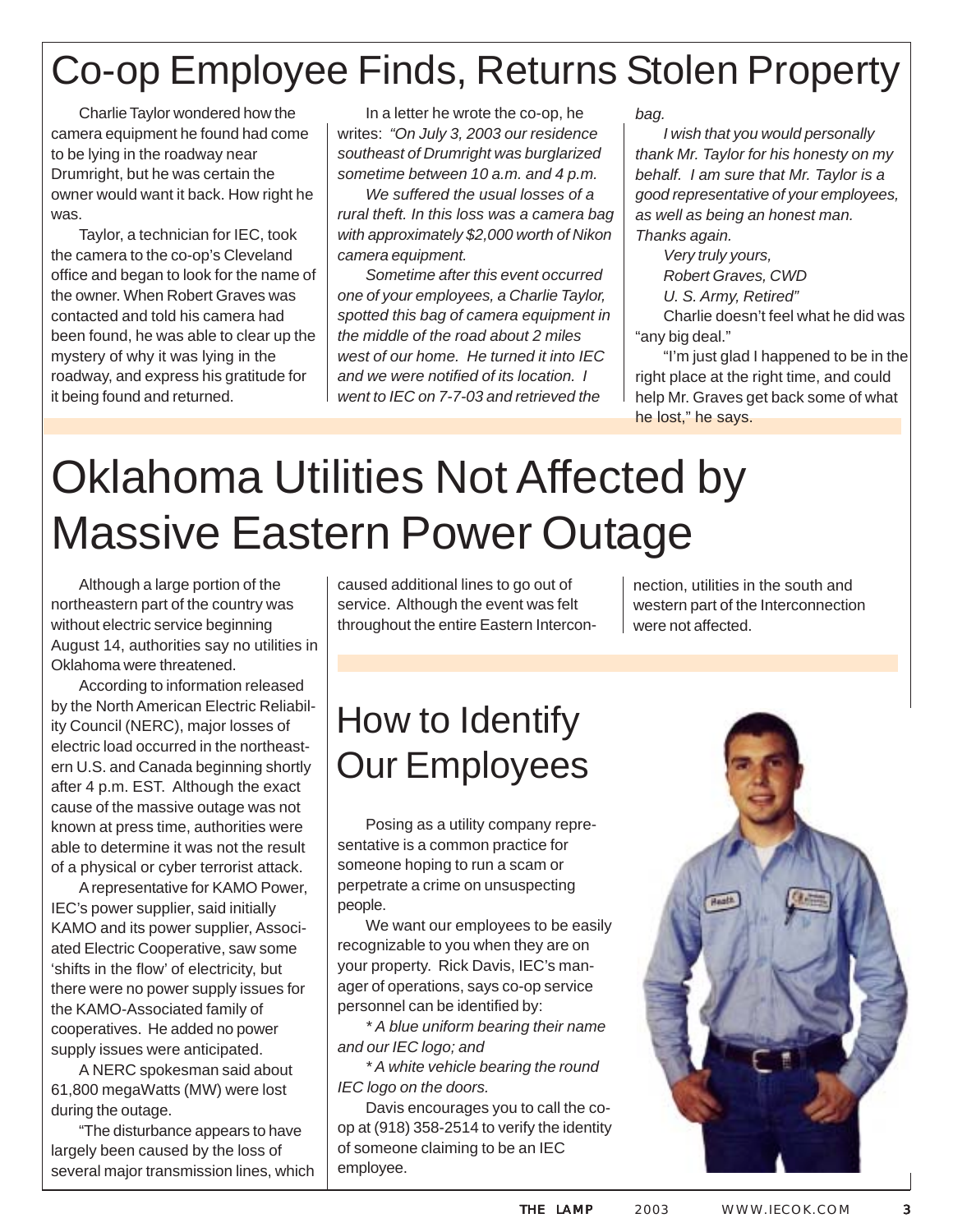# Co-op Employee Finds, Returns Stolen Property

Charlie Taylor wondered how the camera equipment he found had come to be lying in the roadway near Drumright, but he was certain the owner would want it back. How right he was.

Taylor, a technician for IEC, took the camera to the co-op's Cleveland office and began to look for the name of the owner. When Robert Graves was contacted and told his camera had been found, he was able to clear up the mystery of why it was lying in the roadway, and express his gratitude for it being found and returned.

In a letter he wrote the co-op, he writes: *"On July 3, 2003 our residence southeast of Drumright was burglarized sometime between 10 a.m. and 4 p.m.*

*We suffered the usual losses of a rural theft. In this loss was a camera bag with approximately \$2,000 worth of Nikon camera equipment.*

*Sometime after this event occurred one of your employees, a Charlie Taylor, spotted this bag of camera equipment in the middle of the road about 2 miles west of our home. He turned it into IEC and we were notified of its location. I went to IEC on 7-7-03 and retrieved the*

*bag.*

*I wish that you would personally thank Mr. Taylor for his honesty on my behalf. I am sure that Mr. Taylor is a good representative of your employees, as well as being an honest man. Thanks again.*

*Very truly yours, Robert Graves, CWD U. S. Army, Retired"* Charlie doesn't feel what he did was "any big deal."

"I'm just glad I happened to be in the right place at the right time, and could help Mr. Graves get back some of what he lost," he says.

# Oklahoma Utilities Not Affected by Massive Eastern Power Outage

Although a large portion of the northeastern part of the country was without electric service beginning August 14, authorities say no utilities in Oklahoma were threatened.

According to information released by the North American Electric Reliability Council (NERC), major losses of electric load occurred in the northeastern U.S. and Canada beginning shortly after 4 p.m. EST. Although the exact cause of the massive outage was not known at press time, authorities were able to determine it was not the result of a physical or cyber terrorist attack.

A representative for KAMO Power, IEC's power supplier, said initially KAMO and its power supplier, Associated Electric Cooperative, saw some 'shifts in the flow' of electricity, but there were no power supply issues for the KAMO-Associated family of cooperatives. He added no power supply issues were anticipated.

A NERC spokesman said about 61,800 megaWatts (MW) were lost during the outage.

"The disturbance appears to have largely been caused by the loss of several major transmission lines, which caused additional lines to go out of service. Although the event was felt throughout the entire Eastern Intercon-

nection, utilities in the south and western part of the Interconnection were not affected.

# How to Identify Our Employees

Posing as a utility company representative is a common practice for someone hoping to run a scam or perpetrate a crime on unsuspecting people.

We want our employees to be easily recognizable to you when they are on your property. Rick Davis, IEC's manager of operations, says co-op service personnel can be identified by:

*\* A blue uniform bearing their name and our IEC logo; and*

*\* A white vehicle bearing the round IEC logo on the doors.*

Davis encourages you to call the coop at (918) 358-2514 to verify the identity of someone claiming to be an IEC employee.